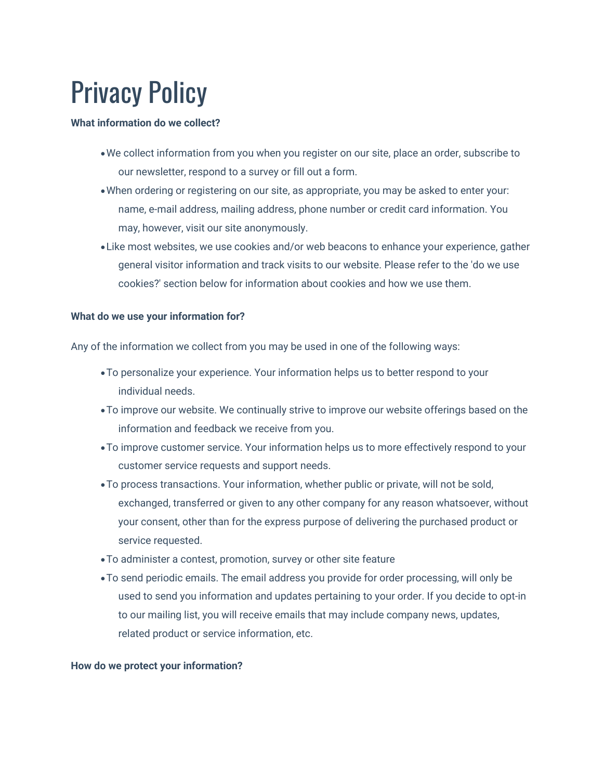# Privacy Policy

#### **What information do we collect?**

- •We collect information from you when you register on our site, place an order, subscribe to our newsletter, respond to a survey or fill out a form.
- •When ordering or registering on our site, as appropriate, you may be asked to enter your: name, e-mail address, mailing address, phone number or credit card information. You may, however, visit our site anonymously.
- •Like most websites, we use cookies and/or web beacons to enhance your experience, gather general visitor information and track visits to our website. Please refer to the 'do we use cookies?' section below for information about cookies and how we use them.

# **What do we use your information for?**

Any of the information we collect from you may be used in one of the following ways:

- •To personalize your experience. Your information helps us to better respond to your individual needs.
- •To improve our website. We continually strive to improve our website offerings based on the information and feedback we receive from you.
- •To improve customer service. Your information helps us to more effectively respond to your customer service requests and support needs.
- •To process transactions. Your information, whether public or private, will not be sold, exchanged, transferred or given to any other company for any reason whatsoever, without your consent, other than for the express purpose of delivering the purchased product or service requested.
- •To administer a contest, promotion, survey or other site feature
- •To send periodic emails. The email address you provide for order processing, will only be used to send you information and updates pertaining to your order. If you decide to opt-in to our mailing list, you will receive emails that may include company news, updates, related product or service information, etc.

# **How do we protect your information?**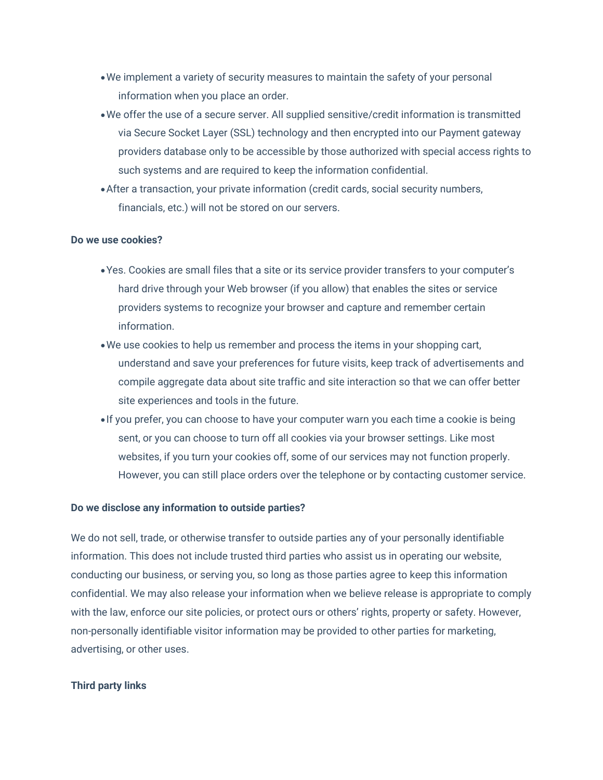- •We implement a variety of security measures to maintain the safety of your personal information when you place an order.
- •We offer the use of a secure server. All supplied sensitive/credit information is transmitted via Secure Socket Layer (SSL) technology and then encrypted into our Payment gateway providers database only to be accessible by those authorized with special access rights to such systems and are required to keep the information confidential.
- •After a transaction, your private information (credit cards, social security numbers, financials, etc.) will not be stored on our servers.

#### **Do we use cookies?**

- •Yes. Cookies are small files that a site or its service provider transfers to your computer's hard drive through your Web browser (if you allow) that enables the sites or service providers systems to recognize your browser and capture and remember certain information.
- •We use cookies to help us remember and process the items in your shopping cart, understand and save your preferences for future visits, keep track of advertisements and compile aggregate data about site traffic and site interaction so that we can offer better site experiences and tools in the future.
- •If you prefer, you can choose to have your computer warn you each time a cookie is being sent, or you can choose to turn off all cookies via your browser settings. Like most websites, if you turn your cookies off, some of our services may not function properly. However, you can still place orders over the telephone or by contacting customer service.

#### **Do we disclose any information to outside parties?**

We do not sell, trade, or otherwise transfer to outside parties any of your personally identifiable information. This does not include trusted third parties who assist us in operating our website, conducting our business, or serving you, so long as those parties agree to keep this information confidential. We may also release your information when we believe release is appropriate to comply with the law, enforce our site policies, or protect ours or others' rights, property or safety. However, non-personally identifiable visitor information may be provided to other parties for marketing, advertising, or other uses.

# **Third party links**